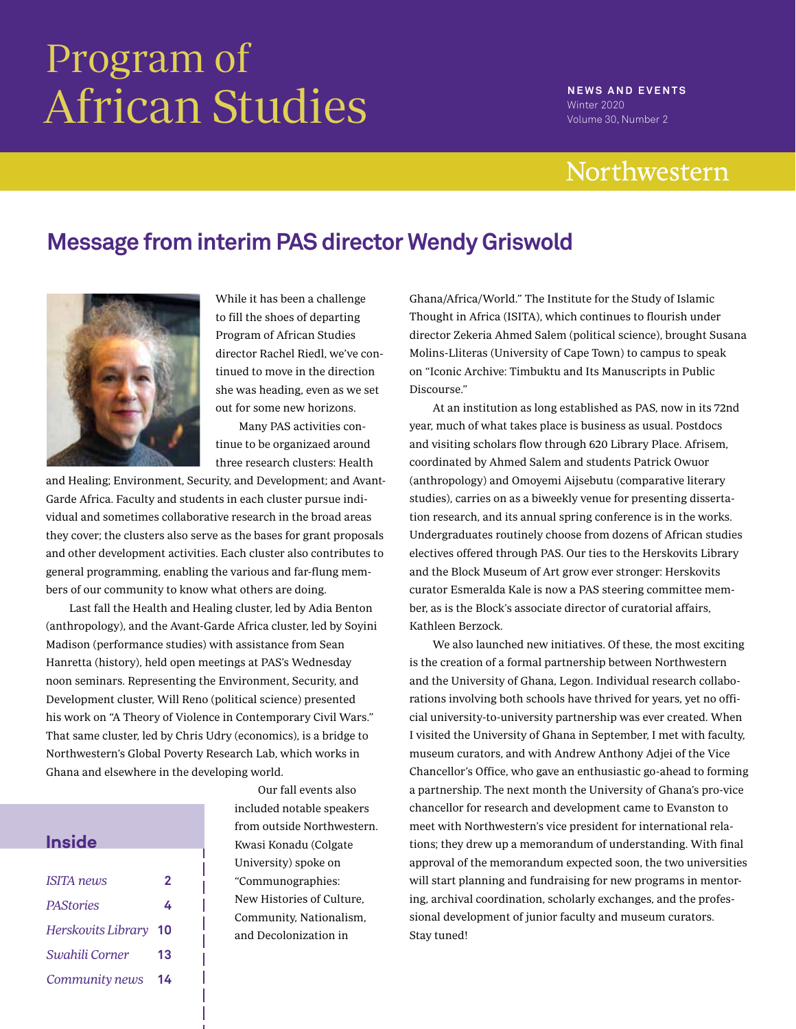# Program of African Studies **NEWS AND EVENTS**

Winter 2020 Volume 30, Number 2

# Northwestern

# **Message from interim PAS director Wendy Griswold**



While it has been a challenge to fill the shoes of departing Program of African Studies director Rachel Riedl, we've continued to move in the direction she was heading, even as we set out for some new horizons.

Many PAS activities continue to be organizaed around three research clusters: Health

and Healing; Environment, Security, and Development; and Avant-Garde Africa. Faculty and students in each cluster pursue individual and sometimes collaborative research in the broad areas they cover; the clusters also serve as the bases for grant proposals and other development activities. Each cluster also contributes to general programming, enabling the various and far-flung members of our community to know what others are doing.

Last fall the Health and Healing cluster, led by Adia Benton (anthropology), and the Avant-Garde Africa cluster, led by Soyini Madison (performance studies) with assistance from Sean Hanretta (history), held open meetings at PAS's Wednesday noon seminars. Representing the Environment, Security, and Development cluster, Will Reno (political science) presented his work on "A Theory of Violence in Contemporary Civil Wars." That same cluster, led by Chris Udry (economics), is a bridge to Northwestern's Global Poverty Research Lab, which works in Ghana and elsewhere in the developing world.

| <b>Inside</b>      |    |
|--------------------|----|
|                    |    |
| <b>ISITA</b> news  | 2  |
| <b>PAStories</b>   | 4  |
| Herskovits Library | 10 |
| Swahili Corner     | 13 |
| Community news     | 14 |

Our fall events also included notable speakers from outside Northwestern. Kwasi Konadu (Colgate University) spoke on "Communographies: New Histories of Culture, Community, Nationalism, and Decolonization in

Ghana/Africa/World." The Institute for the Study of Islamic Thought in Africa (ISITA), which continues to flourish under director Zekeria Ahmed Salem (political science), brought Susana Molins-Lliteras (University of Cape Town) to campus to speak on "Iconic Archive: Timbuktu and Its Manuscripts in Public Discourse."

At an institution as long established as PAS, now in its 72nd year, much of what takes place is business as usual. Postdocs and visiting scholars flow through 620 Library Place. Afrisem, coordinated by Ahmed Salem and students Patrick Owuor (anthropology) and Omoyemi Aijsebutu (comparative literary studies), carries on as a biweekly venue for presenting dissertation research, and its annual spring conference is in the works. Undergraduates routinely choose from dozens of African studies electives offered through PAS. Our ties to the Herskovits Library and the Block Museum of Art grow ever stronger: Herskovits curator Esmeralda Kale is now a PAS steering committee member, as is the Block's associate director of curatorial affairs, Kathleen Berzock.

We also launched new initiatives. Of these, the most exciting is the creation of a formal partnership between Northwestern and the University of Ghana, Legon. Individual research collaborations involving both schools have thrived for years, yet no official university-to-university partnership was ever created. When I visited the University of Ghana in September, I met with faculty, museum curators, and with Andrew Anthony Adjei of the Vice Chancellor's Office, who gave an enthusiastic go-ahead to forming a partnership. The next month the University of Ghana's pro-vice chancellor for research and development came to Evanston to meet with Northwestern's vice president for international relations; they drew up a memorandum of understanding. With final approval of the memorandum expected soon, the two universities will start planning and fundraising for new programs in mentoring, archival coordination, scholarly exchanges, and the professional development of junior faculty and museum curators. Stay tuned!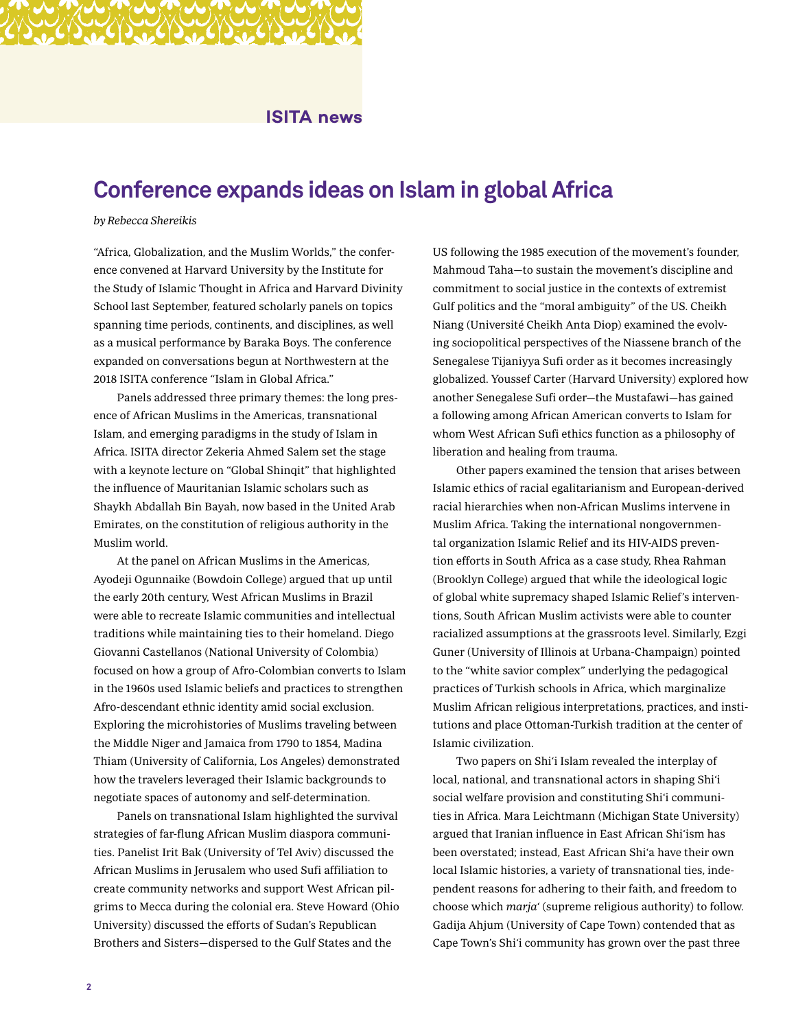### **ISITA news**

### **Conference expands ideas on Islam in global Africa**

#### by Rebecca Shereikis

"Africa, Globalization, and the Muslim Worlds," the conference convened at Harvard University by the Institute for the Study of Islamic Thought in Africa and Harvard Divinity School last September, featured scholarly panels on topics spanning time periods, continents, and disciplines, as well as a musical performance by Baraka Boys. The conference expanded on conversations begun at Northwestern at the 2018 ISITA conference "Islam in Global Africa."

Panels addressed three primary themes: the long presence of African Muslims in the Americas, transnational Islam, and emerging paradigms in the study of Islam in Africa. ISITA director Zekeria Ahmed Salem set the stage with a keynote lecture on "Global Shinqit" that highlighted the influence of Mauritanian Islamic scholars such as Shaykh Abdallah Bin Bayah, now based in the United Arab Emirates, on the constitution of religious authority in the Muslim world.

At the panel on African Muslims in the Americas, Ayodeji Ogunnaike (Bowdoin College) argued that up until the early 20th century, West African Muslims in Brazil were able to recreate Islamic communities and intellectual traditions while maintaining ties to their homeland. Diego Giovanni Castellanos (National University of Colombia) focused on how a group of Afro-Colombian converts to Islam in the 1960s used Islamic beliefs and practices to strengthen Afro-descendant ethnic identity amid social exclusion. Exploring the microhistories of Muslims traveling between the Middle Niger and Jamaica from 1790 to 1854, Madina Thiam (University of California, Los Angeles) demonstrated how the travelers leveraged their Islamic backgrounds to negotiate spaces of autonomy and self-determination.

Panels on transnational Islam highlighted the survival strategies of far-flung African Muslim diaspora communities. Panelist Irit Bak (University of Tel Aviv) discussed the African Muslims in Jerusalem who used Sufi affiliation to create community networks and support West African pilgrims to Mecca during the colonial era. Steve Howard (Ohio University) discussed the efforts of Sudan's Republican Brothers and Sisters—dispersed to the Gulf States and the

US following the 1985 execution of the movement's founder, Mahmoud Taha—to sustain the movement's discipline and commitment to social justice in the contexts of extremist Gulf politics and the "moral ambiguity" of the US. Cheikh Niang (Université Cheikh Anta Diop) examined the evolving sociopolitical perspectives of the Niassene branch of the Senegalese Tijaniyya Sufi order as it becomes increasingly globalized. Youssef Carter (Harvard University) explored how another Senegalese Sufi order—the Mustafawi—has gained a following among African American converts to Islam for whom West African Sufi ethics function as a philosophy of liberation and healing from trauma.

Other papers examined the tension that arises between Islamic ethics of racial egalitarianism and European-derived racial hierarchies when non-African Muslims intervene in Muslim Africa. Taking the international nongovernmental organization Islamic Relief and its HIV-AIDS prevention efforts in South Africa as a case study, Rhea Rahman (Brooklyn College) argued that while the ideological logic of global white supremacy shaped Islamic Relief's interventions, South African Muslim activists were able to counter racialized assumptions at the grassroots level. Similarly, Ezgi Guner (University of Illinois at Urbana-Champaign) pointed to the "white savior complex" underlying the pedagogical practices of Turkish schools in Africa, which marginalize Muslim African religious interpretations, practices, and institutions and place Ottoman-Turkish tradition at the center of Islamic civilization.

Two papers on Shi'i Islam revealed the interplay of local, national, and transnational actors in shaping Shi'i social welfare provision and constituting Shi'i communities in Africa. Mara Leichtmann (Michigan State University) argued that Iranian influence in East African Shi'ism has been overstated; instead, East African Shi'a have their own local Islamic histories, a variety of transnational ties, independent reasons for adhering to their faith, and freedom to choose which marja' (supreme religious authority) to follow. Gadija Ahjum (University of Cape Town) contended that as Cape Town's Shi'i community has grown over the past three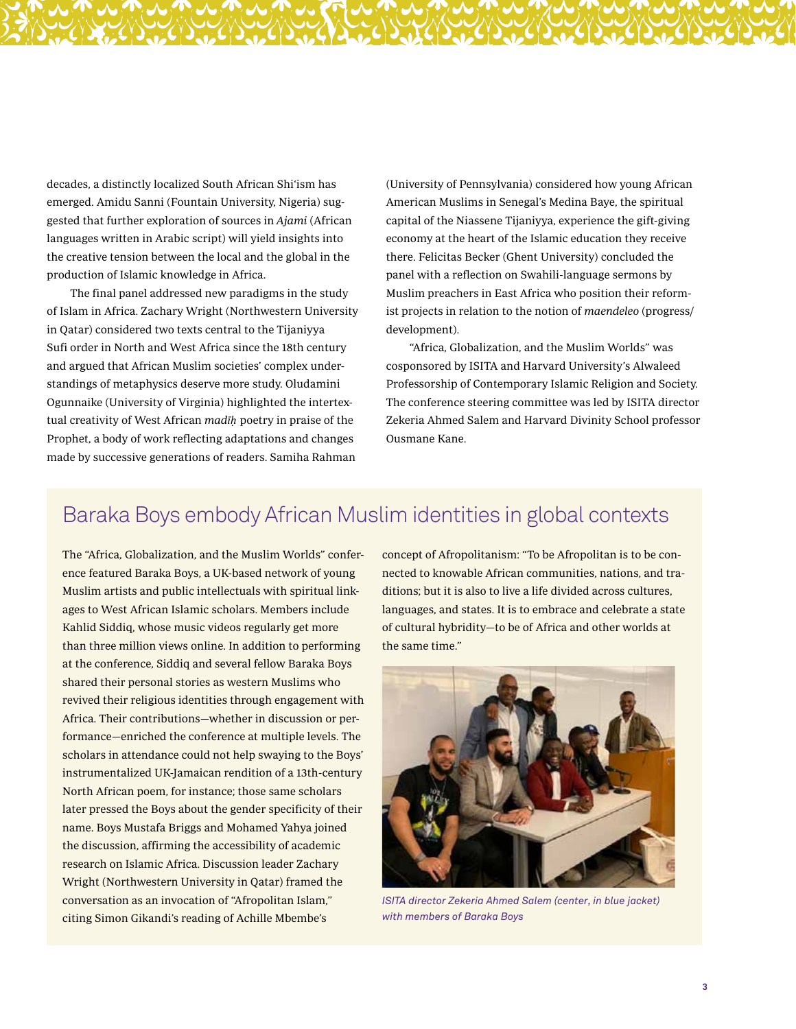decades, a distinctly localized South African Shi'ism has emerged. Amidu Sanni (Fountain University, Nigeria) suggested that further exploration of sources in Ajami (African languages written in Arabic script) will yield insights into the creative tension between the local and the global in the production of Islamic knowledge in Africa.

The final panel addressed new paradigms in the study of Islam in Africa. Zachary Wright (Northwestern University in Qatar) considered two texts central to the Tijaniyya Sufi order in North and West Africa since the 18th century and argued that African Muslim societies' complex understandings of metaphysics deserve more study. Oludamini Ogunnaike (University of Virginia) highlighted the intertextual creativity of West African mad*īḥ* poetry in praise of the Prophet, a body of work reflecting adaptations and changes made by successive generations of readers. Samiha Rahman

(University of Pennsylvania) considered how young African American Muslims in Senegal's Medina Baye, the spiritual capital of the Niassene Tijaniyya, experience the gift-giving economy at the heart of the Islamic education they receive there. Felicitas Becker (Ghent University) concluded the panel with a reflection on Swahili-language sermons by Muslim preachers in East Africa who position their reformist projects in relation to the notion of maendeleo (progress/ development).

"Africa, Globalization, and the Muslim Worlds" was cosponsored by ISITA and Harvard University's Alwaleed Professorship of Contemporary Islamic Religion and Society. The conference steering committee was led by ISITA director Zekeria Ahmed Salem and Harvard Divinity School professor Ousmane Kane.

### Baraka Boys embody African Muslim identities in global contexts

The "Africa, Globalization, and the Muslim Worlds" conference featured Baraka Boys, a UK-based network of young Muslim artists and public intellectuals with spiritual linkages to West African Islamic scholars. Members include Kahlid Siddiq, whose music videos regularly get more than three million views online. In addition to performing at the conference, Siddiq and several fellow Baraka Boys shared their personal stories as western Muslims who revived their religious identities through engagement with Africa. Their contributions—whether in discussion or performance—enriched the conference at multiple levels. The scholars in attendance could not help swaying to the Boys' instrumentalized UK-Jamaican rendition of a 13th-century North African poem, for instance; those same scholars later pressed the Boys about the gender specificity of their name. Boys Mustafa Briggs and Mohamed Yahya joined the discussion, affirming the accessibility of academic research on Islamic Africa. Discussion leader Zachary Wright (Northwestern University in Qatar) framed the conversation as an invocation of "Afropolitan Islam," citing Simon Gikandi's reading of Achille Mbembe's

concept of Afropolitanism: "To be Afropolitan is to be connected to knowable African communities, nations, and traditions; but it is also to live a life divided across cultures, languages, and states. It is to embrace and celebrate a state of cultural hybridity—to be of Africa and other worlds at the same time."



*ISITA director Zekeria Ahmed Salem (center, in blue jacket) with members of Baraka Boys*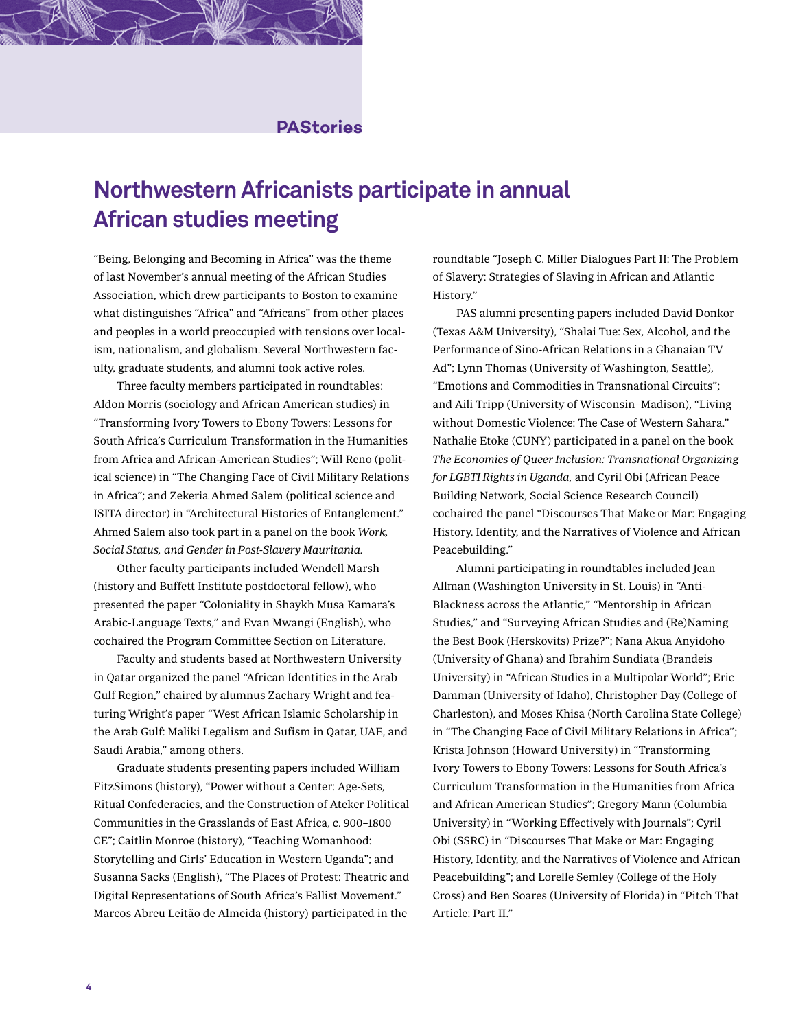### **PAStories**

# **Northwestern Africanists participate in annual African studies meeting**

"Being, Belonging and Becoming in Africa" was the theme of last November's annual meeting of the African Studies Association, which drew participants to Boston to examine what distinguishes "Africa" and "Africans" from other places and peoples in a world preoccupied with tensions over localism, nationalism, and globalism. Several Northwestern faculty, graduate students, and alumni took active roles.

Three faculty members participated in roundtables: Aldon Morris (sociology and African American studies) in "Transforming Ivory Towers to Ebony Towers: Lessons for South Africa's Curriculum Transformation in the Humanities from Africa and African-American Studies"; Will Reno (political science) in "The Changing Face of Civil Military Relations in Africa"; and Zekeria Ahmed Salem (political science and ISITA director) in "Architectural Histories of Entanglement." Ahmed Salem also took part in a panel on the book Work, Social Status, and Gender in Post-Slavery Mauritania.

Other faculty participants included Wendell Marsh (history and Buffett Institute postdoctoral fellow), who presented the paper "Coloniality in Shaykh Musa Kamara's Arabic-Language Texts," and Evan Mwangi (English), who cochaired the Program Committee Section on Literature.

Faculty and students based at Northwestern University in Qatar organized the panel "African Identities in the Arab Gulf Region," chaired by alumnus Zachary Wright and featuring Wright's paper "West African Islamic Scholarship in the Arab Gulf: Maliki Legalism and Sufism in Qatar, UAE, and Saudi Arabia," among others.

Graduate students presenting papers included William FitzSimons (history), "Power without a Center: Age-Sets, Ritual Confederacies, and the Construction of Ateker Political Communities in the Grasslands of East Africa, c. 900–1800 CE"; Caitlin Monroe (history), "Teaching Womanhood: Storytelling and Girls' Education in Western Uganda"; and Susanna Sacks (English), "The Places of Protest: Theatric and Digital Representations of South Africa's Fallist Movement." Marcos Abreu Leitão de Almeida (history) participated in the

roundtable "Joseph C. Miller Dialogues Part II: The Problem of Slavery: Strategies of Slaving in African and Atlantic History."

PAS alumni presenting papers included David Donkor (Texas A&M University), "Shalai Tue: Sex, Alcohol, and the Performance of Sino-African Relations in a Ghanaian TV Ad"; Lynn Thomas (University of Washington, Seattle), "Emotions and Commodities in Transnational Circuits"; and Aili Tripp (University of Wisconsin–Madison), "Living without Domestic Violence: The Case of Western Sahara." Nathalie Etoke (CUNY) participated in a panel on the book The Economies of Queer Inclusion: Transnational Organizing for LGBTI Rights in Uganda, and Cyril Obi (African Peace Building Network, Social Science Research Council) cochaired the panel "Discourses That Make or Mar: Engaging History, Identity, and the Narratives of Violence and African Peacebuilding."

Alumni participating in roundtables included Jean Allman (Washington University in St. Louis) in "Anti-Blackness across the Atlantic," "Mentorship in African Studies," and "Surveying African Studies and (Re)Naming the Best Book (Herskovits) Prize?"; Nana Akua Anyidoho (University of Ghana) and Ibrahim Sundiata (Brandeis University) in "African Studies in a Multipolar World"; Eric Damman (University of Idaho), Christopher Day (College of Charleston), and Moses Khisa (North Carolina State College) in "The Changing Face of Civil Military Relations in Africa"; Krista Johnson (Howard University) in "Transforming Ivory Towers to Ebony Towers: Lessons for South Africa's Curriculum Transformation in the Humanities from Africa and African American Studies"; Gregory Mann (Columbia University) in "Working Effectively with Journals"; Cyril Obi (SSRC) in "Discourses That Make or Mar: Engaging History, Identity, and the Narratives of Violence and African Peacebuilding"; and Lorelle Semley (College of the Holy Cross) and Ben Soares (University of Florida) in "Pitch That Article: Part II."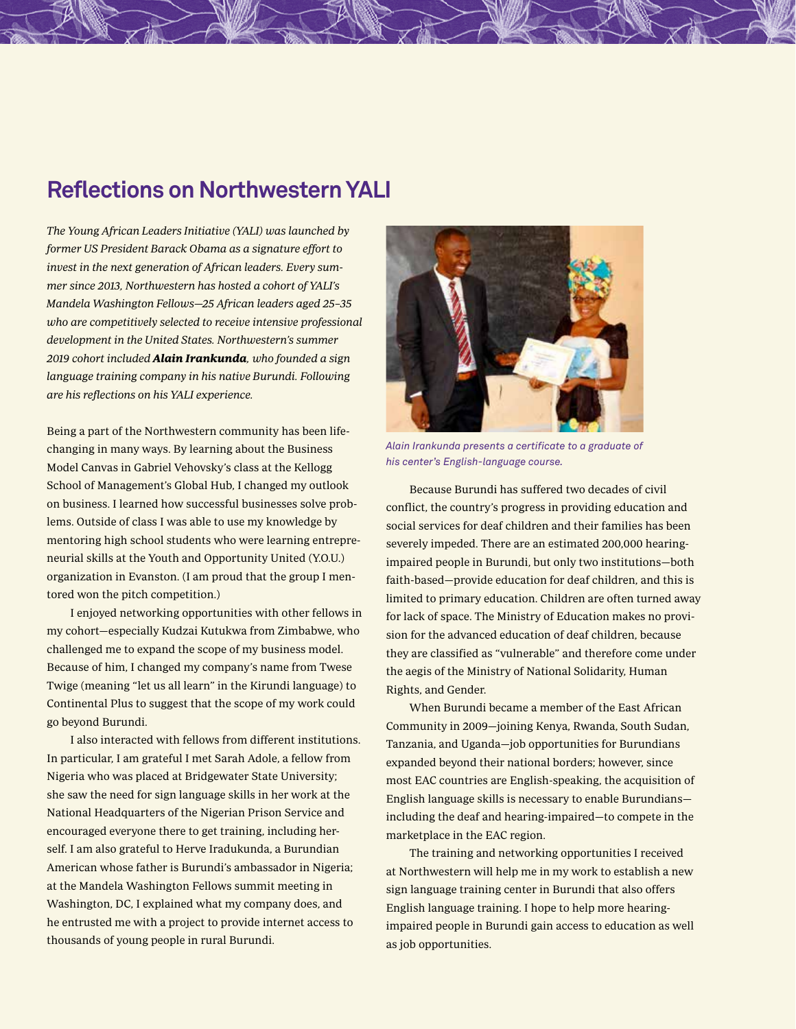# **Reflections on Northwestern YALI**

The Young African Leaders Initiative (YALI) was launched by former US President Barack Obama as a signature effort to invest in the next generation of African leaders. Every summer since 2013, Northwestern has hosted a cohort of YALI's Mandela Washington Fellows—25 African leaders aged 25–35 who are competitively selected to receive intensive professional development in the United States. Northwestern's summer 2019 cohort included Alain Irankunda, who founded a sign language training company in his native Burundi. Following are his reflections on his YALI experience.

Being a part of the Northwestern community has been lifechanging in many ways. By learning about the Business Model Canvas in Gabriel Vehovsky's class at the Kellogg School of Management's Global Hub, I changed my outlook on business. I learned how successful businesses solve problems. Outside of class I was able to use my knowledge by mentoring high school students who were learning entrepreneurial skills at the Youth and Opportunity United (Y.O.U.) organization in Evanston. (I am proud that the group I mentored won the pitch competition.)

I enjoyed networking opportunities with other fellows in my cohort—especially Kudzai Kutukwa from Zimbabwe, who challenged me to expand the scope of my business model. Because of him, I changed my company's name from Twese Twige (meaning "let us all learn" in the Kirundi language) to Continental Plus to suggest that the scope of my work could go beyond Burundi.

I also interacted with fellows from different institutions. In particular, I am grateful I met Sarah Adole, a fellow from Nigeria who was placed at Bridgewater State University; she saw the need for sign language skills in her work at the National Headquarters of the Nigerian Prison Service and encouraged everyone there to get training, including herself. I am also grateful to Herve Iradukunda, a Burundian American whose father is Burundi's ambassador in Nigeria; at the Mandela Washington Fellows summit meeting in Washington, DC, I explained what my company does, and he entrusted me with a project to provide internet access to thousands of young people in rural Burundi.



*Alain Irankunda presents a certificate to a graduate of his center's English-language course.* 

Because Burundi has suffered two decades of civil conflict, the country's progress in providing education and social services for deaf children and their families has been severely impeded. There are an estimated 200,000 hearingimpaired people in Burundi, but only two institutions—both faith-based—provide education for deaf children, and this is limited to primary education. Children are often turned away for lack of space. The Ministry of Education makes no provision for the advanced education of deaf children, because they are classified as "vulnerable" and therefore come under the aegis of the Ministry of National Solidarity, Human Rights, and Gender.

When Burundi became a member of the East African Community in 2009—joining Kenya, Rwanda, South Sudan, Tanzania, and Uganda—job opportunities for Burundians expanded beyond their national borders; however, since most EAC countries are English-speaking, the acquisition of English language skills is necessary to enable Burundians including the deaf and hearing-impaired—to compete in the marketplace in the EAC region.

The training and networking opportunities I received at Northwestern will help me in my work to establish a new sign language training center in Burundi that also offers English language training. I hope to help more hearingimpaired people in Burundi gain access to education as well as job opportunities.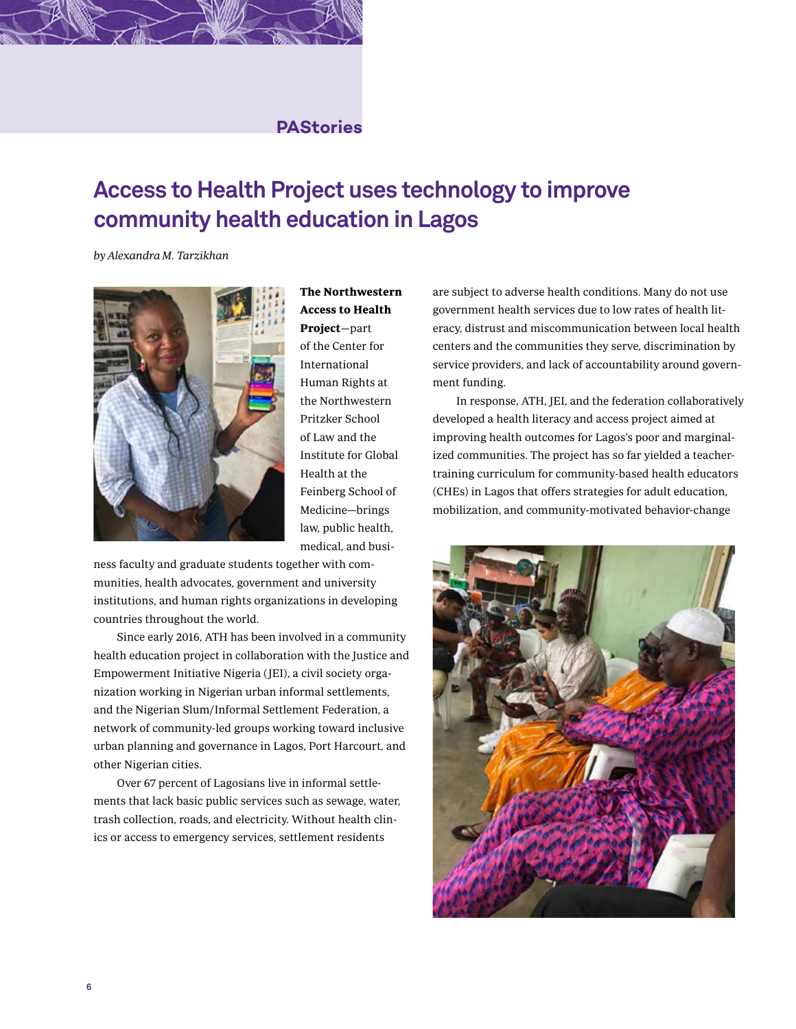### **PAStories**

# **Access to Health Project uses technology to improve community health education in Lagos**

by Alexandra M. Tarzikhan



The Northwestern Access to Health Project—part of the Center for International Human Rights at the Northwestern Pritzker School of Law and the Institute for Global Health at the Feinberg School of Medicine—brings law, public health, medical, and busi-

ness faculty and graduate students together with communities, health advocates, government and university institutions, and human rights organizations in developing countries throughout the world.

Since early 2016, ATH has been involved in a community health education project in collaboration with the Justice and Empowerment Initiative Nigeria (JEI), a civil society organization working in Nigerian urban informal settlements, and the Nigerian Slum/Informal Settlement Federation, a network of community-led groups working toward inclusive urban planning and governance in Lagos, Port Harcourt, and other Nigerian cities.

Over 67 percent of Lagosians live in informal settlements that lack basic public services such as sewage, water, trash collection, roads, and electricity. Without health clinics or access to emergency services, settlement residents

are subject to adverse health conditions. Many do not use government health services due to low rates of health literacy, distrust and miscommunication between local health centers and the communities they serve, discrimination by service providers, and lack of accountability around government funding.

In response, ATH, JEI, and the federation collaboratively developed a health literacy and access project aimed at improving health outcomes for Lagos's poor and marginalized communities. The project has so far yielded a teachertraining curriculum for community-based health educators (CHEs) in Lagos that offers strategies for adult education, mobilization, and community-motivated behavior-change

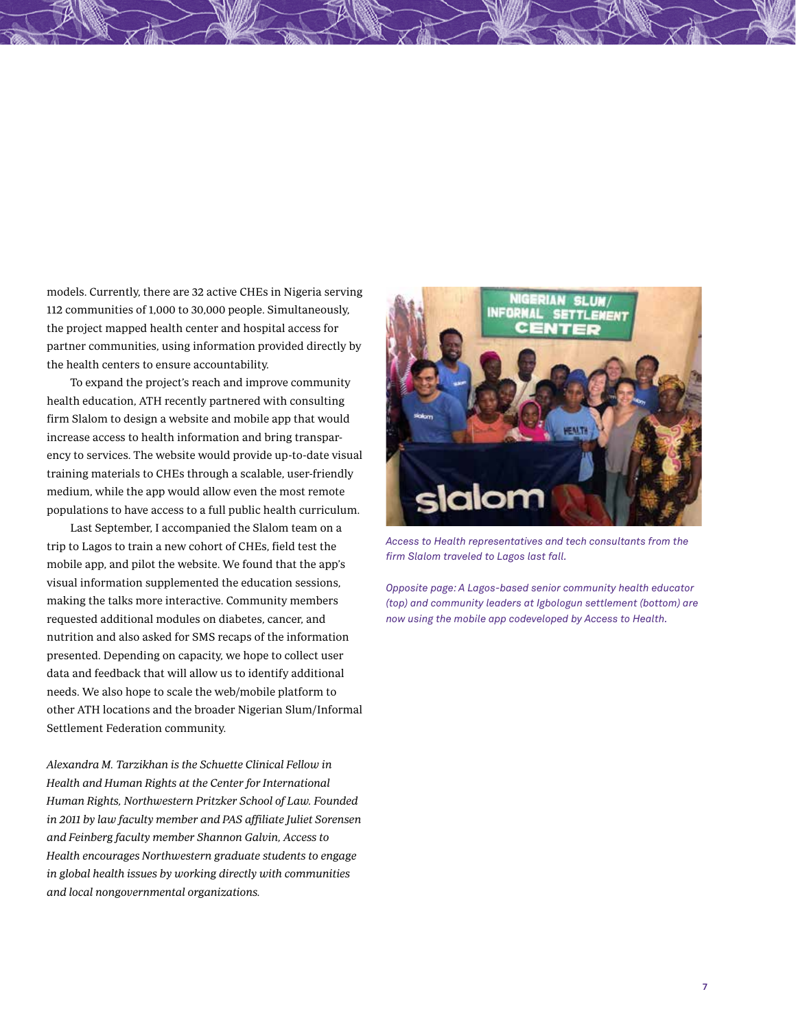models. Currently, there are 32 active CHEs in Nigeria serving 112 communities of 1,000 to 30,000 people. Simultaneously, the project mapped health center and hospital access for partner communities, using information provided directly by the health centers to ensure accountability.

To expand the project's reach and improve community health education, ATH recently partnered with consulting firm Slalom to design a website and mobile app that would increase access to health information and bring transparency to services. The website would provide up-to-date visual training materials to CHEs through a scalable, user-friendly medium, while the app would allow even the most remote populations to have access to a full public health curriculum.

Last September, I accompanied the Slalom team on a trip to Lagos to train a new cohort of CHEs, field test the mobile app, and pilot the website. We found that the app's visual information supplemented the education sessions, making the talks more interactive. Community members requested additional modules on diabetes, cancer, and nutrition and also asked for SMS recaps of the information presented. Depending on capacity, we hope to collect user data and feedback that will allow us to identify additional needs. We also hope to scale the web/mobile platform to other ATH locations and the broader Nigerian Slum/Informal Settlement Federation community.

Alexandra M. Tarzikhan is the Schuette Clinical Fellow in Health and Human Rights at the Center for International Human Rights, Northwestern Pritzker School of Law. Founded in 2011 by law faculty member and PAS affiliate Juliet Sorensen and Feinberg faculty member Shannon Galvin, Access to Health encourages Northwestern graduate students to engage in global health issues by working directly with communities and local nongovernmental organizations.



*Access to Health representatives and tech consultants from the firm Slalom traveled to Lagos last fall.*

*Opposite page: A Lagos-based senior community health educator (top) and community leaders at Igbologun settlement (bottom) are now using the mobile app codeveloped by Access to Health.*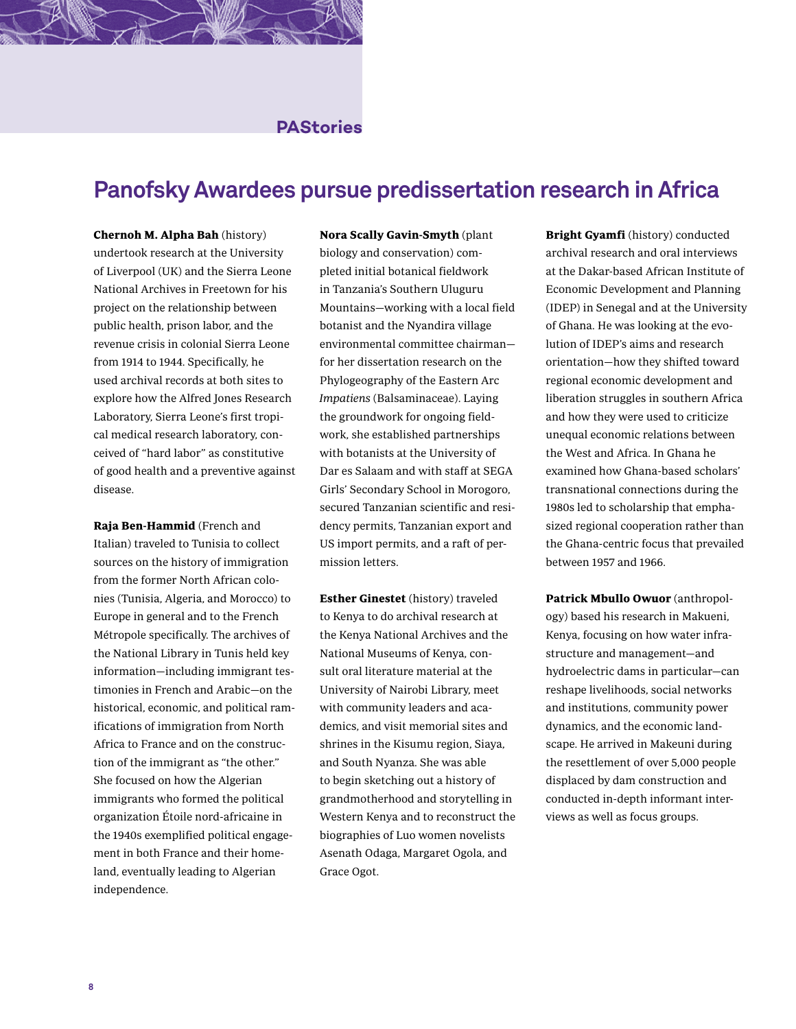### **PAStories**

### **Panofsky Awardees pursue predissertation research in Africa**

Chernoh M. Alpha Bah (history) undertook research at the University of Liverpool (UK) and the Sierra Leone National Archives in Freetown for his project on the relationship between public health, prison labor, and the revenue crisis in colonial Sierra Leone from 1914 to 1944. Specifically, he used archival records at both sites to explore how the Alfred Jones Research Laboratory, Sierra Leone's first tropical medical research laboratory, conceived of "hard labor" as constitutive of good health and a preventive against disease.

Raja Ben-Hammid (French and Italian) traveled to Tunisia to collect sources on the history of immigration from the former North African colonies (Tunisia, Algeria, and Morocco) to Europe in general and to the French Métropole specifically. The archives of the National Library in Tunis held key information—including immigrant testimonies in French and Arabic—on the historical, economic, and political ramifications of immigration from North Africa to France and on the construction of the immigrant as "the other." She focused on how the Algerian immigrants who formed the political organization Étoile nord-africaine in the 1940s exemplified political engagement in both France and their homeland, eventually leading to Algerian independence.

Nora Scally Gavin-Smyth (plant biology and conservation) completed initial botanical fieldwork in Tanzania's Southern Uluguru Mountains—working with a local field botanist and the Nyandira village environmental committee chairman for her dissertation research on the Phylogeography of the Eastern Arc Impatiens (Balsaminaceae). Laying the groundwork for ongoing fieldwork, she established partnerships with botanists at the University of Dar es Salaam and with staff at SEGA Girls' Secondary School in Morogoro, secured Tanzanian scientific and residency permits, Tanzanian export and US import permits, and a raft of permission letters.

Esther Ginestet (history) traveled to Kenya to do archival research at the Kenya National Archives and the National Museums of Kenya, consult oral literature material at the University of Nairobi Library, meet with community leaders and academics, and visit memorial sites and shrines in the Kisumu region, Siaya, and South Nyanza. She was able to begin sketching out a history of grandmotherhood and storytelling in Western Kenya and to reconstruct the biographies of Luo women novelists Asenath Odaga, Margaret Ogola, and Grace Ogot.

Bright Gyamfi (history) conducted archival research and oral interviews at the Dakar-based African Institute of Economic Development and Planning (IDEP) in Senegal and at the University of Ghana. He was looking at the evolution of IDEP's aims and research orientation—how they shifted toward regional economic development and liberation struggles in southern Africa and how they were used to criticize unequal economic relations between the West and Africa. In Ghana he examined how Ghana-based scholars' transnational connections during the 1980s led to scholarship that emphasized regional cooperation rather than the Ghana-centric focus that prevailed between 1957 and 1966.

Patrick Mbullo Owuor (anthropology) based his research in Makueni, Kenya, focusing on how water infrastructure and management—and hydroelectric dams in particular—can reshape livelihoods, social networks and institutions, community power dynamics, and the economic landscape. He arrived in Makeuni during the resettlement of over 5,000 people displaced by dam construction and conducted in-depth informant interviews as well as focus groups.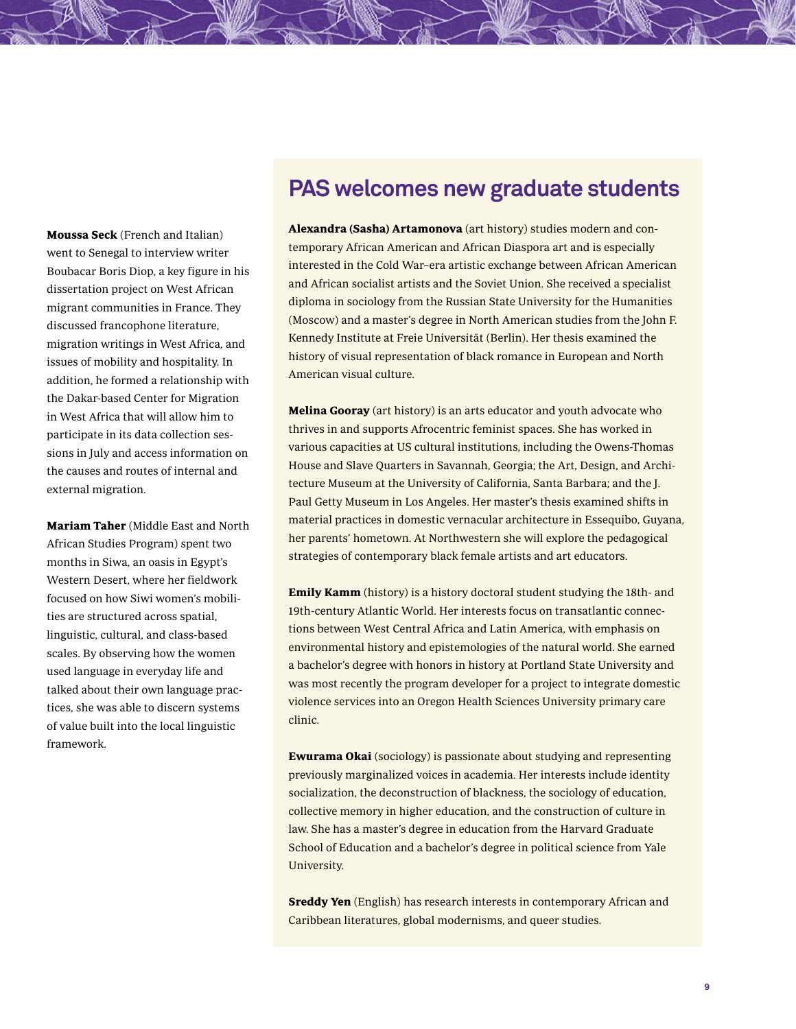# **PAS welcomes new graduate students**

Moussa Seck (French and Italian) went to Senegal to interview writer Boubacar Boris Diop, a key figure in his dissertation project on West African migrant communities in France. They discussed francophone literature, migration writings in West Africa, and issues of mobility and hospitality. In addition, he formed a relationship with the Dakar-based Center for Migration in West Africa that will allow him to participate in its data collection sessions in July and access information on the causes and routes of internal and external migration.

Mariam Taher (Middle East and North African Studies Program) spent two months in Siwa, an oasis in Egypt's Western Desert, where her fieldwork focused on how Siwi women's mobilities are structured across spatial, linguistic, cultural, and class-based scales. By observing how the women used language in everyday life and talked about their own language practices, she was able to discern systems of value built into the local linguistic framework.

Alexandra (Sasha) Artamonova (art history) studies modern and contemporary African American and African Diaspora art and is especially interested in the Cold War–era artistic exchange between African American and African socialist artists and the Soviet Union. She received a specialist diploma in sociology from the Russian State University for the Humanities (Moscow) and a master's degree in North American studies from the John F. Kennedy Institute at Freie Universität (Berlin). Her thesis examined the history of visual representation of black romance in European and North American visual culture.

**Melina Gooray** (art history) is an arts educator and youth advocate who thrives in and supports Afrocentric feminist spaces. She has worked in various capacities at US cultural institutions, including the Owens-Thomas House and Slave Quarters in Savannah, Georgia; the Art, Design, and Architecture Museum at the University of California, Santa Barbara; and the J. Paul Getty Museum in Los Angeles. Her master's thesis examined shifts in material practices in domestic vernacular architecture in Essequibo, Guyana, her parents' hometown. At Northwestern she will explore the pedagogical strategies of contemporary black female artists and art educators.

Emily Kamm (history) is a history doctoral student studying the 18th- and 19th-century Atlantic World. Her interests focus on transatlantic connections between West Central Africa and Latin America, with emphasis on environmental history and epistemologies of the natural world. She earned a bachelor's degree with honors in history at Portland State University and was most recently the program developer for a project to integrate domestic violence services into an Oregon Health Sciences University primary care clinic.

Ewurama Okai (sociology) is passionate about studying and representing previously marginalized voices in academia. Her interests include identity socialization, the deconstruction of blackness, the sociology of education, collective memory in higher education, and the construction of culture in law. She has a master's degree in education from the Harvard Graduate School of Education and a bachelor's degree in political science from Yale University.

**Sreddy Yen** (English) has research interests in contemporary African and Caribbean literatures, global modernisms, and queer studies.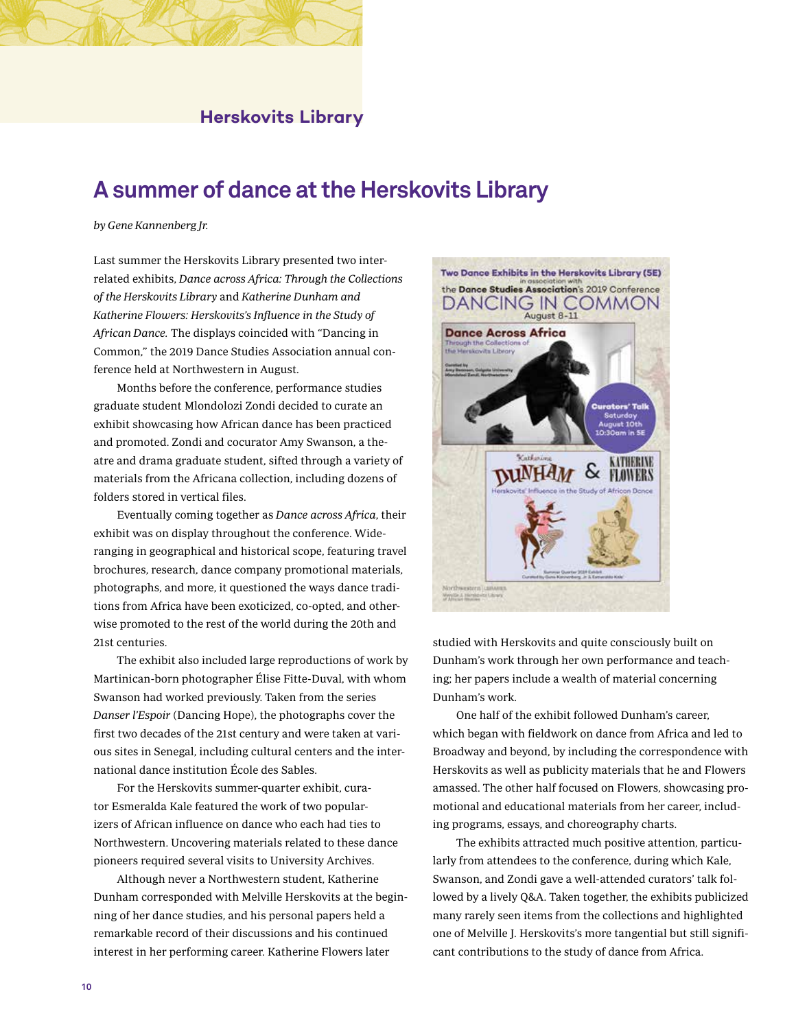### **Herskovits Library**

### **A summer of dance at the Herskovits Library**

#### by Gene Kannenberg Jr.

Last summer the Herskovits Library presented two interrelated exhibits, Dance across Africa: Through the Collections of the Herskovits Library and Katherine Dunham and Katherine Flowers: Herskovits's Influence in the Study of African Dance. The displays coincided with "Dancing in Common," the 2019 Dance Studies Association annual conference held at Northwestern in August.

Months before the conference, performance studies graduate student Mlondolozi Zondi decided to curate an exhibit showcasing how African dance has been practiced and promoted. Zondi and cocurator Amy Swanson, a theatre and drama graduate student, sifted through a variety of materials from the Africana collection, including dozens of folders stored in vertical files.

Eventually coming together as Dance across Africa, their exhibit was on display throughout the conference. Wideranging in geographical and historical scope, featuring travel brochures, research, dance company promotional materials, photographs, and more, it questioned the ways dance traditions from Africa have been exoticized, co-opted, and otherwise promoted to the rest of the world during the 20th and 21st centuries.

The exhibit also included large reproductions of work by Martinican-born photographer Élise Fitte-Duval, with whom Swanson had worked previously. Taken from the series Danser l'Espoir (Dancing Hope), the photographs cover the first two decades of the 21st century and were taken at various sites in Senegal, including cultural centers and the international dance institution École des Sables.

For the Herskovits summer-quarter exhibit, curator Esmeralda Kale featured the work of two popularizers of African influence on dance who each had ties to Northwestern. Uncovering materials related to these dance pioneers required several visits to University Archives.

Although never a Northwestern student, Katherine Dunham corresponded with Melville Herskovits at the beginning of her dance studies, and his personal papers held a remarkable record of their discussions and his continued interest in her performing career. Katherine Flowers later



studied with Herskovits and quite consciously built on Dunham's work through her own performance and teaching; her papers include a wealth of material concerning Dunham's work.

One half of the exhibit followed Dunham's career, which began with fieldwork on dance from Africa and led to Broadway and beyond, by including the correspondence with Herskovits as well as publicity materials that he and Flowers amassed. The other half focused on Flowers, showcasing promotional and educational materials from her career, including programs, essays, and choreography charts.

The exhibits attracted much positive attention, particularly from attendees to the conference, during which Kale, Swanson, and Zondi gave a well-attended curators' talk followed by a lively Q&A. Taken together, the exhibits publicized many rarely seen items from the collections and highlighted one of Melville J. Herskovits's more tangential but still significant contributions to the study of dance from Africa.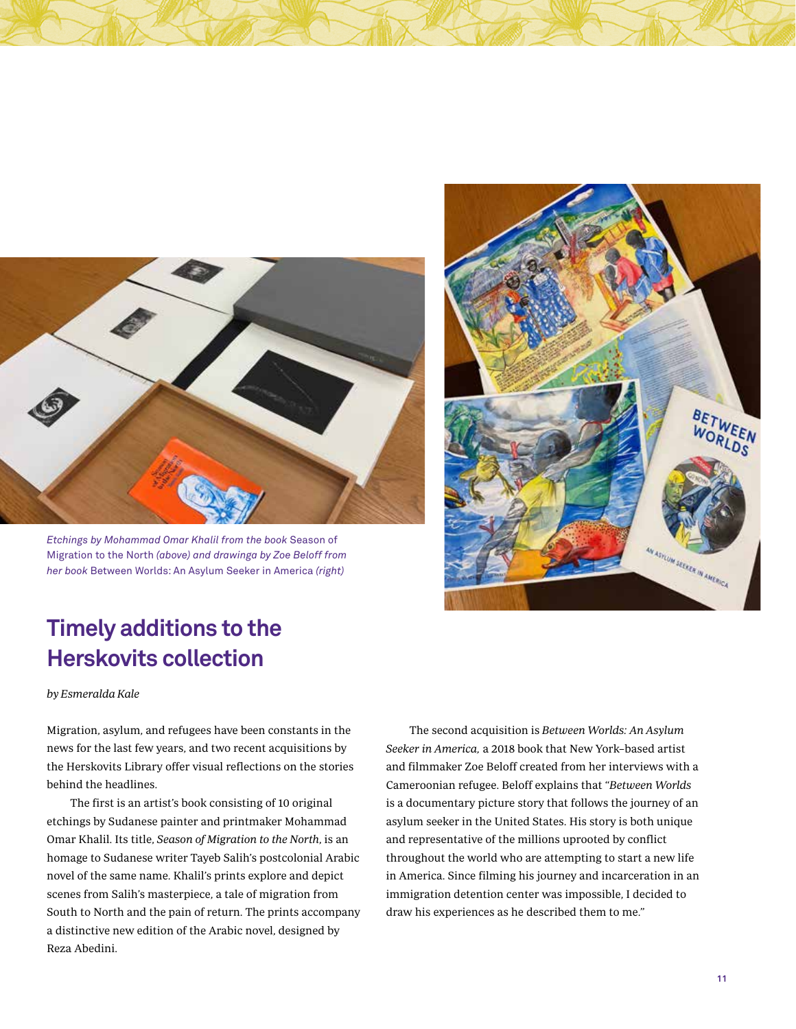

*Etchings by Mohammad Omar Khalil from the book* Season of Migration to the North *(above) and drawinga by Zoe Beloff from her book* Between Worlds: An Asylum Seeker in America *(right)*



# **Timely additions to the Herskovits collection**

by Esmeralda Kale

Migration, asylum, and refugees have been constants in the news for the last few years, and two recent acquisitions by the Herskovits Library offer visual reflections on the stories behind the headlines.

The first is an artist's book consisting of 10 original etchings by Sudanese painter and printmaker Mohammad Omar Khalil. Its title, Season of Migration to the North, is an homage to Sudanese writer Tayeb Salih's postcolonial Arabic novel of the same name. Khalil's prints explore and depict scenes from Salih's masterpiece, a tale of migration from South to North and the pain of return. The prints accompany a distinctive new edition of the Arabic novel, designed by Reza Abedini.

The second acquisition is Between Worlds: An Asylum Seeker in America, a 2018 book that New York–based artist and filmmaker Zoe Beloff created from her interviews with a Cameroonian refugee. Beloff explains that "Between Worlds is a documentary picture story that follows the journey of an asylum seeker in the United States. His story is both unique and representative of the millions uprooted by conflict throughout the world who are attempting to start a new life in America. Since filming his journey and incarceration in an immigration detention center was impossible, I decided to draw his experiences as he described them to me."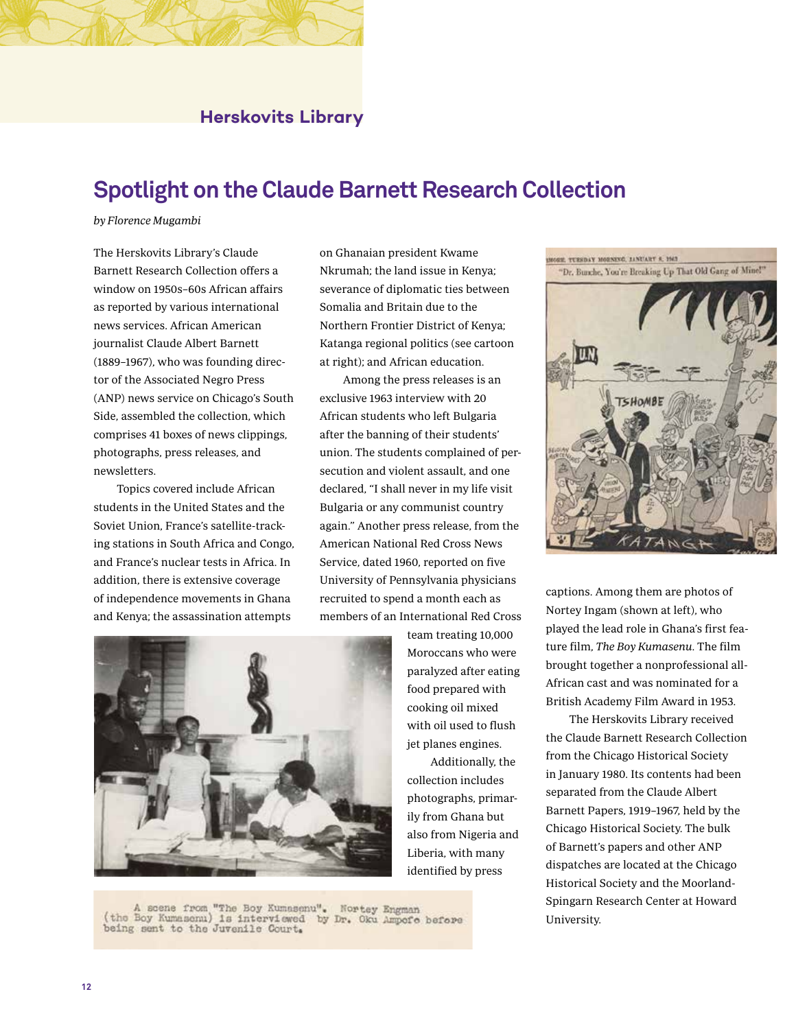### **Herskovits Library**

### **Spotlight on the Claude Barnett Research Collection**

#### by Florence Mugambi

The Herskovits Library's Claude Barnett Research Collection offers a window on 1950s–60s African affairs as reported by various international news services. African American journalist Claude Albert Barnett (1889–1967), who was founding director of the Associated Negro Press (ANP) news service on Chicago's South Side, assembled the collection, which comprises 41 boxes of news clippings, photographs, press releases, and newsletters.

Topics covered include African students in the United States and the Soviet Union, France's satellite-tracking stations in South Africa and Congo, and France's nuclear tests in Africa. In addition, there is extensive coverage of independence movements in Ghana and Kenya; the assassination attempts

on Ghanaian president Kwame Nkrumah; the land issue in Kenya; severance of diplomatic ties between Somalia and Britain due to the Northern Frontier District of Kenya; Katanga regional politics (see cartoon at right); and African education.

Among the press releases is an exclusive 1963 interview with 20 African students who left Bulgaria after the banning of their students' union. The students complained of persecution and violent assault, and one declared, "I shall never in my life visit Bulgaria or any communist country again." Another press release, from the American National Red Cross News Service, dated 1960, reported on five University of Pennsylvania physicians recruited to spend a month each as members of an International Red Cross



team treating 10,000 Moroccans who were paralyzed after eating food prepared with cooking oil mixed with oil used to flush jet planes engines.

Additionally, the collection includes photographs, primarily from Ghana but also from Nigeria and Liberia, with many identified by press

THE P THATING DEPARTMENT FOREST NO "Dr. Bunche, You're Breaking Up That Old Gang of Mine!"



captions. Among them are photos of Nortey Ingam (shown at left), who played the lead role in Ghana's first feature film, The Boy Kumasenu. The film brought together a nonprofessional all-African cast and was nominated for a British Academy Film Award in 1953.

The Herskovits Library received the Claude Barnett Research Collection from the Chicago Historical Society in January 1980. Its contents had been separated from the Claude Albert Barnett Papers, 1919–1967, held by the Chicago Historical Society. The bulk of Barnett's papers and other ANP dispatches are located at the Chicago Historical Society and the Moorland-Spingarn Research Center at Howard University.

A scene from "The Boy Kumasenu". Nortey Engman (the Boy Kumasenu) is interviewed by Dr. Oku Ampofe before being sent to the Juvenile Court.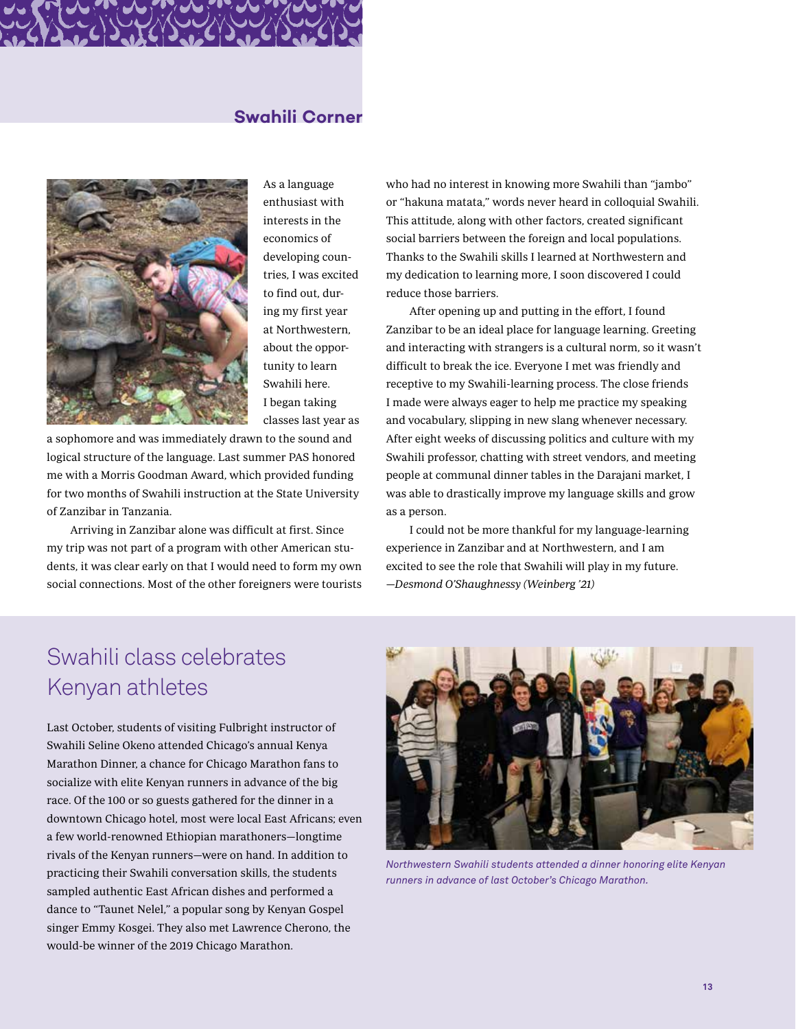### **Swahili Corner**



As a language enthusiast with interests in the economics of developing countries, I was excited to find out, during my first year at Northwestern, about the opportunity to learn Swahili here. I began taking classes last year as

a sophomore and was immediately drawn to the sound and logical structure of the language. Last summer PAS honored me with a Morris Goodman Award, which provided funding for two months of Swahili instruction at the State University of Zanzibar in Tanzania.

Arriving in Zanzibar alone was difficult at first. Since my trip was not part of a program with other American students, it was clear early on that I would need to form my own social connections. Most of the other foreigners were tourists who had no interest in knowing more Swahili than "jambo" or "hakuna matata," words never heard in colloquial Swahili. This attitude, along with other factors, created significant social barriers between the foreign and local populations. Thanks to the Swahili skills I learned at Northwestern and my dedication to learning more, I soon discovered I could reduce those barriers.

After opening up and putting in the effort, I found Zanzibar to be an ideal place for language learning. Greeting and interacting with strangers is a cultural norm, so it wasn't difficult to break the ice. Everyone I met was friendly and receptive to my Swahili-learning process. The close friends I made were always eager to help me practice my speaking and vocabulary, slipping in new slang whenever necessary. After eight weeks of discussing politics and culture with my Swahili professor, chatting with street vendors, and meeting people at communal dinner tables in the Darajani market, I was able to drastically improve my language skills and grow as a person.

I could not be more thankful for my language-learning experience in Zanzibar and at Northwestern, and I am excited to see the role that Swahili will play in my future. —Desmond O'Shaughnessy (Weinberg '21)

# Swahili class celebrates Kenyan athletes

Last October, students of visiting Fulbright instructor of Swahili Seline Okeno attended Chicago's annual Kenya Marathon Dinner, a chance for Chicago Marathon fans to socialize with elite Kenyan runners in advance of the big race. Of the 100 or so guests gathered for the dinner in a downtown Chicago hotel, most were local East Africans; even a few world-renowned Ethiopian marathoners—longtime rivals of the Kenyan runners—were on hand. In addition to practicing their Swahili conversation skills, the students sampled authentic East African dishes and performed a dance to "Taunet Nelel," a popular song by Kenyan Gospel singer Emmy Kosgei. They also met Lawrence Cherono, the would-be winner of the 2019 Chicago Marathon.



*Northwestern Swahili students attended a dinner honoring elite Kenyan runners in advance of last October's Chicago Marathon.*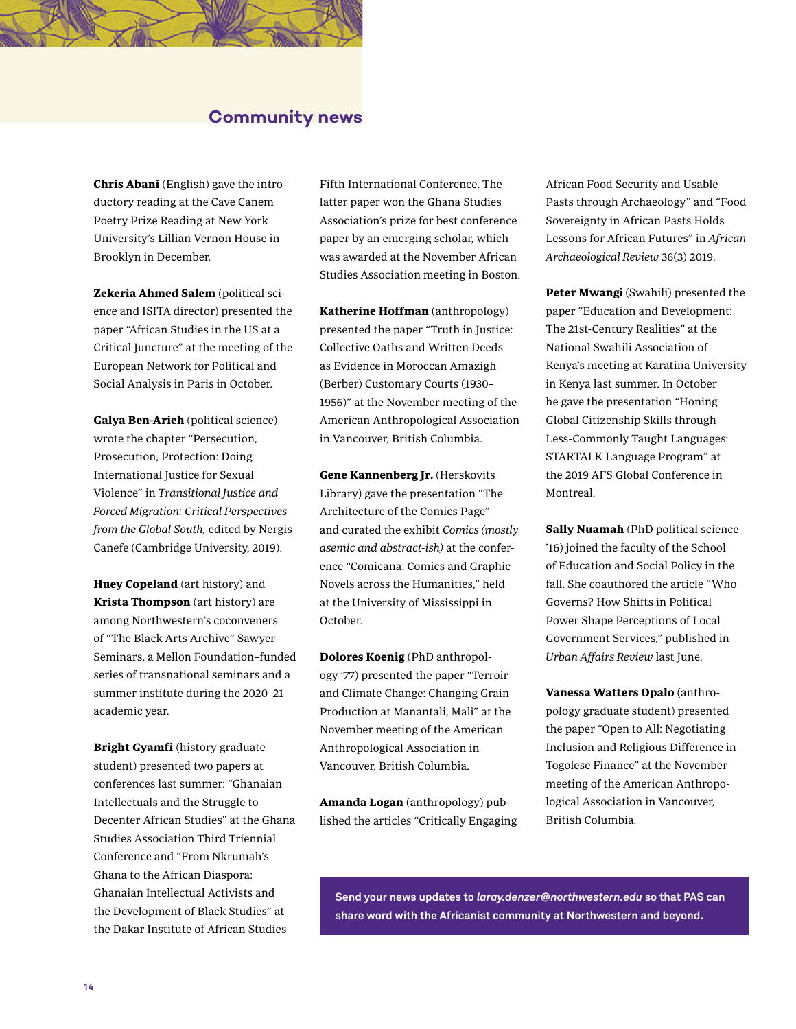### **Community news**

Chris Abani (English) gave the introductory reading at the Cave Canem Poetry Prize Reading at New York University's Lillian Vernon House in Brooklyn in December.

Zekeria Ahmed Salem (political science and ISITA director) presented the paper "African Studies in the US at a Critical Juncture" at the meeting of the European Network for Political and Social Analysis in Paris in October.

Galya Ben-Arieh (political science) wrote the chapter "Persecution, Prosecution, Protection: Doing International Justice for Sexual Violence" in Transitional Justice and Forced Migration: Critical Perspectives from the Global South, edited by Nergis Canefe (Cambridge University, 2019).

Huey Copeland (art history) and Krista Thompson (art history) are among Northwestern's coconveners of "The Black Arts Archive" Sawyer Seminars, a Mellon Foundation–funded series of transnational seminars and a summer institute during the 2020–21 academic year.

Bright Gyamfi (history graduate student) presented two papers at conferences last summer: "Ghanaian Intellectuals and the Struggle to Decenter African Studies" at the Ghana Studies Association Third Triennial Conference and "From Nkrumah's Ghana to the African Diaspora: Ghanaian Intellectual Activists and the Development of Black Studies" at the Dakar Institute of African Studies

Fifth International Conference. The latter paper won the Ghana Studies Association's prize for best conference paper by an emerging scholar, which was awarded at the November African Studies Association meeting in Boston.

Katherine Hoffman (anthropology) presented the paper "Truth in Justice: Collective Oaths and Written Deeds as Evidence in Moroccan Amazigh (Berber) Customary Courts (1930– 1956)" at the November meeting of the American Anthropological Association in Vancouver, British Columbia.

Gene Kannenberg Jr**.** (Herskovits Library) gave the presentation "The Architecture of the Comics Page" and curated the exhibit Comics (mostly asemic and abstract-ish) at the conference "Comicana: Comics and Graphic Novels across the Humanities," held at the University of Mississippi in October.

Dolores Koenig (PhD anthropology '77) presented the paper "Terroir and Climate Change: Changing Grain Production at Manantali, Mali" at the November meeting of the American Anthropological Association in Vancouver, British Columbia.

Amanda Logan (anthropology) published the articles "Critically Engaging African Food Security and Usable Pasts through Archaeology" and "Food Sovereignty in African Pasts Holds Lessons for African Futures" in African Archaeological Review 36(3) 2019.

Peter Mwang**i** (Swahili) presented the paper "Education and Development: The 21st-Century Realities" at the National Swahili Association of Kenya's meeting at Karatina University in Kenya last summer. In October he gave the presentation "Honing Global Citizenship Skills through Less-Commonly Taught Languages: STARTALK Language Program" at the 2019 AFS Global Conference in Montreal.

Sally Nuamah (PhD political science '16) joined the faculty of the School of Education and Social Policy in the fall. She coauthored the article "Who Governs? How Shifts in Political Power Shape Perceptions of Local Government Services," published in Urban Affairs Review last June.

Vanessa Watters Opalo (anthropology graduate student) presented the paper "Open to All: Negotiating Inclusion and Religious Difference in Togolese Finance" at the November meeting of the American Anthropological Association in Vancouver, British Columbia.

**Send your news updates to** *laray.denzer@northwestern.edu* **so that PAS can share word with the Africanist community at Northwestern and beyond.**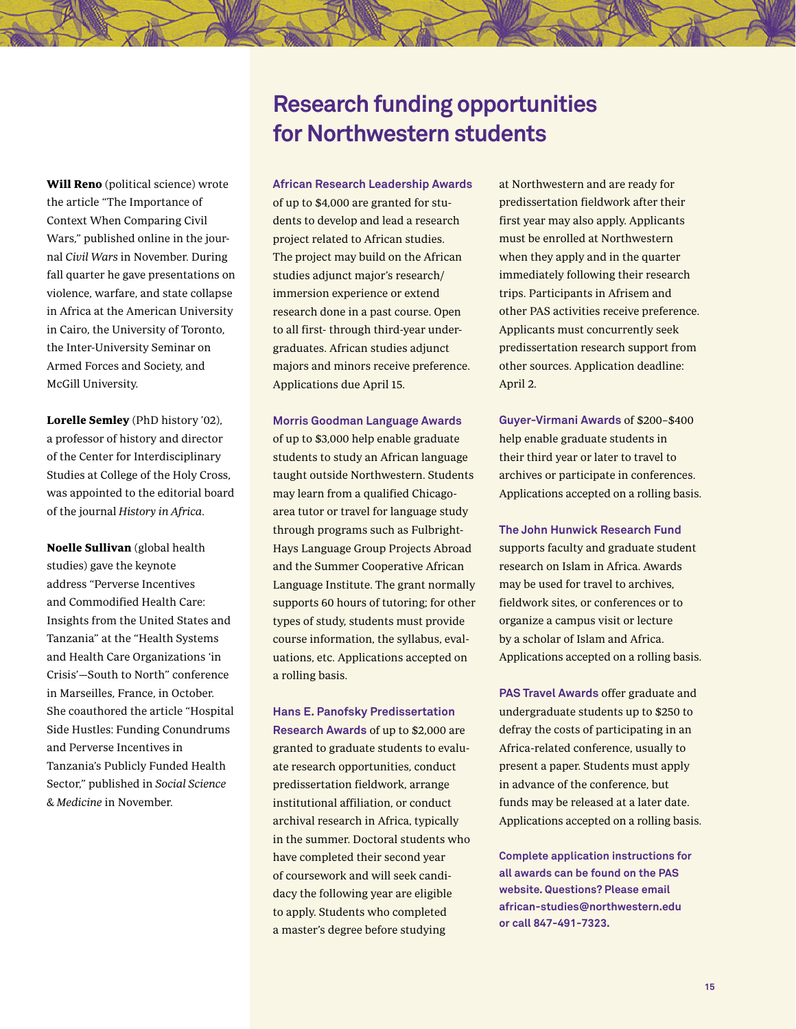Will Reno (political science) wrote the article "The Importance of Context When Comparing Civil Wars," published online in the journal Civil Wars in November. During fall quarter he gave presentations on violence, warfare, and state collapse in Africa at the American University in Cairo, the University of Toronto, the Inter-University Seminar on Armed Forces and Society, and McGill University.

Lorelle Semley (PhD history '02), a professor of history and director of the Center for Interdisciplinary Studies at College of the Holy Cross, was appointed to the editorial board of the journal History in Africa.

Noelle Sullivan (global health studies) gave the keynote address "Perverse Incentives and Commodified Health Care: Insights from the United States and Tanzania" at the "Health Systems and Health Care Organizations 'in Crisis'—South to North" conference in Marseilles, France, in October. She coauthored the article "Hospital Side Hustles: Funding Conundrums and Perverse Incentives in Tanzania's Publicly Funded Health Sector," published in Social Science & Medicine in November.

# **Research funding opportunities for Northwestern students**

**African Research Leadership Awards**

of up to \$4,000 are granted for students to develop and lead a research project related to African studies. The project may build on the African studies adjunct major's research/ immersion experience or extend research done in a past course. Open to all first- through third-year undergraduates. African studies adjunct majors and minors receive preference. Applications due April 15.

**Morris Goodman Language Awards** of up to \$3,000 help enable graduate students to study an African language taught outside Northwestern. Students may learn from a qualified Chicagoarea tutor or travel for language study through programs such as Fulbright-Hays Language Group Projects Abroad and the Summer Cooperative African Language Institute. The grant normally supports 60 hours of tutoring; for other types of study, students must provide course information, the syllabus, evaluations, etc. Applications accepted on a rolling basis.

**Hans E. Panofsky Predissertation Research Awards** of up to \$2,000 are granted to graduate students to evaluate research opportunities, conduct predissertation fieldwork, arrange institutional affiliation, or conduct archival research in Africa, typically in the summer. Doctoral students who have completed their second year of coursework and will seek candidacy the following year are eligible to apply. Students who completed a master's degree before studying

at Northwestern and are ready for predissertation fieldwork after their first year may also apply. Applicants must be enrolled at Northwestern when they apply and in the quarter immediately following their research trips. Participants in Afrisem and other PAS activities receive preference. Applicants must concurrently seek predissertation research support from other sources. Application deadline: April 2.

**Guyer-Virmani Awards** of \$200–\$400 help enable graduate students in their third year or later to travel to archives or participate in conferences. Applications accepted on a rolling basis.

**The John Hunwick Research Fund** supports faculty and graduate student research on Islam in Africa. Awards may be used for travel to archives, fieldwork sites, or conferences or to organize a campus visit or lecture by a scholar of Islam and Africa. Applications accepted on a rolling basis.

**PAS Travel Awards** offer graduate and undergraduate students up to \$250 to defray the costs of participating in an Africa-related conference, usually to present a paper. Students must apply in advance of the conference, but funds may be released at a later date. Applications accepted on a rolling basis.

**Complete application instructions for all awards can be found on the PAS website. Questions? Please email african-studies@northwestern.edu or call 847-491-7323.**